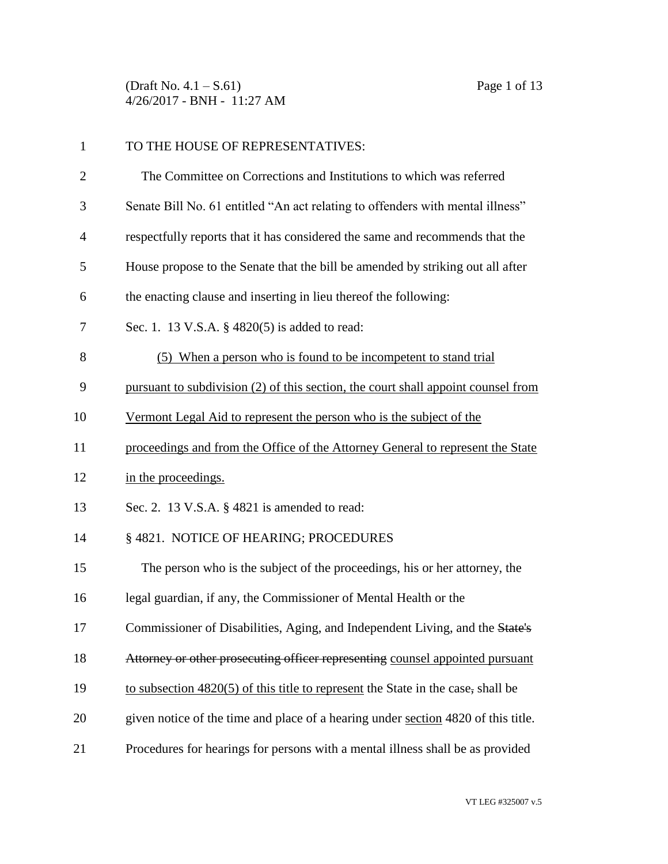(Draft No. 4.1 – S.61) Page 1 of 13 4/26/2017 - BNH - 11:27 AM

| $\mathbf{1}$   | TO THE HOUSE OF REPRESENTATIVES:                                                   |
|----------------|------------------------------------------------------------------------------------|
| $\overline{c}$ | The Committee on Corrections and Institutions to which was referred                |
| 3              | Senate Bill No. 61 entitled "An act relating to offenders with mental illness"     |
| 4              | respectfully reports that it has considered the same and recommends that the       |
| 5              | House propose to the Senate that the bill be amended by striking out all after     |
| 6              | the enacting clause and inserting in lieu thereof the following:                   |
| 7              | Sec. 1. 13 V.S.A. § 4820(5) is added to read:                                      |
| 8              | (5) When a person who is found to be incompetent to stand trial                    |
| 9              | pursuant to subdivision (2) of this section, the court shall appoint counsel from  |
| 10             | Vermont Legal Aid to represent the person who is the subject of the                |
| 11             | proceedings and from the Office of the Attorney General to represent the State     |
| 12             | in the proceedings.                                                                |
| 13             | Sec. 2. 13 V.S.A. § 4821 is amended to read:                                       |
| 14             | § 4821. NOTICE OF HEARING; PROCEDURES                                              |
| 15             | The person who is the subject of the proceedings, his or her attorney, the         |
| 16             | legal guardian, if any, the Commissioner of Mental Health or the                   |
| 17             | Commissioner of Disabilities, Aging, and Independent Living, and the State's       |
| 18             | Attorney or other prosecuting officer representing counsel appointed pursuant      |
| 19             | to subsection $4820(5)$ of this title to represent the State in the case, shall be |
| 20             | given notice of the time and place of a hearing under section 4820 of this title.  |
| 21             | Procedures for hearings for persons with a mental illness shall be as provided     |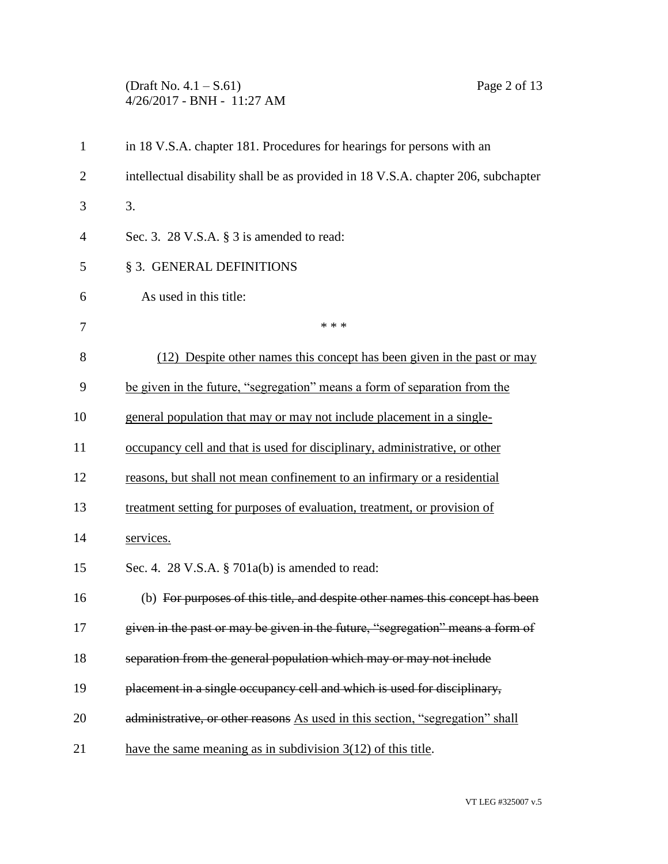## (Draft No. 4.1 – S.61) Page 2 of 13 4/26/2017 - BNH - 11:27 AM

| $\mathbf{1}$   | in 18 V.S.A. chapter 181. Procedures for hearings for persons with an             |
|----------------|-----------------------------------------------------------------------------------|
| $\overline{2}$ | intellectual disability shall be as provided in 18 V.S.A. chapter 206, subchapter |
| 3              | 3.                                                                                |
| 4              | Sec. 3. 28 V.S.A. $\S$ 3 is amended to read:                                      |
| 5              | § 3. GENERAL DEFINITIONS                                                          |
| 6              | As used in this title:                                                            |
| 7              | * * *                                                                             |
| 8              | (12) Despite other names this concept has been given in the past or may           |
| 9              | be given in the future, "segregation" means a form of separation from the         |
| 10             | general population that may or may not include placement in a single-             |
| 11             | occupancy cell and that is used for disciplinary, administrative, or other        |
| 12             | reasons, but shall not mean confinement to an infirmary or a residential          |
| 13             | treatment setting for purposes of evaluation, treatment, or provision of          |
| 14             | services.                                                                         |
| 15             | Sec. 4. 28 V.S.A. § 701a(b) is amended to read:                                   |
| 16             | (b) For purposes of this title, and despite other names this concept has been     |
| 17             | given in the past or may be given in the future, "segregation" means a form of    |
| 18             | separation from the general population which may or may not include               |
| 19             | placement in a single occupancy cell and which is used for disciplinary,          |
| 20             | administrative, or other reasons As used in this section, "segregation" shall     |
| 21             | have the same meaning as in subdivision $3(12)$ of this title.                    |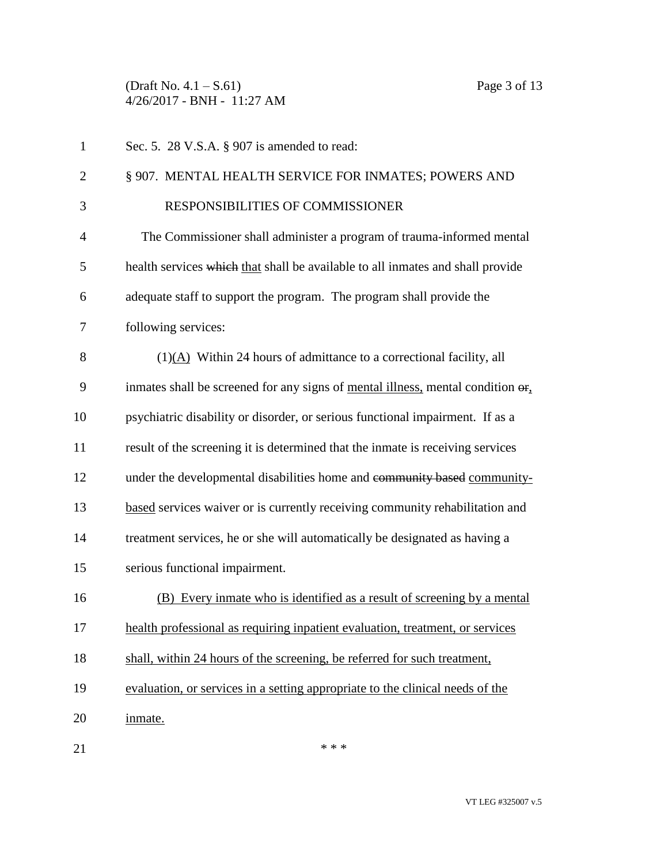(Draft No. 4.1 – S.61) Page 3 of 13 4/26/2017 - BNH - 11:27 AM

| $\mathbf{1}$   | Sec. 5. 28 V.S.A. § 907 is amended to read:                                                                 |
|----------------|-------------------------------------------------------------------------------------------------------------|
| $\overline{2}$ | § 907. MENTAL HEALTH SERVICE FOR INMATES; POWERS AND                                                        |
| 3              | RESPONSIBILITIES OF COMMISSIONER                                                                            |
| $\overline{4}$ | The Commissioner shall administer a program of trauma-informed mental                                       |
| 5              | health services which that shall be available to all inmates and shall provide                              |
| 6              | adequate staff to support the program. The program shall provide the                                        |
| 7              | following services:                                                                                         |
| 8              | $(1)(A)$ Within 24 hours of admittance to a correctional facility, all                                      |
| 9              | inmates shall be screened for any signs of <u>mental illness</u> , mental condition $\Theta$ <sub>1</sub> . |
| 10             | psychiatric disability or disorder, or serious functional impairment. If as a                               |
| 11             | result of the screening it is determined that the inmate is receiving services                              |
| 12             | under the developmental disabilities home and community based community-                                    |
| 13             | based services waiver or is currently receiving community rehabilitation and                                |
| 14             | treatment services, he or she will automatically be designated as having a                                  |
| 15             | serious functional impairment.                                                                              |
| 16             | (B) Every inmate who is identified as a result of screening by a mental                                     |
| 17             | health professional as requiring inpatient evaluation, treatment, or services                               |
| 18             | shall, within 24 hours of the screening, be referred for such treatment,                                    |
| 19             | evaluation, or services in a setting appropriate to the clinical needs of the                               |
| 20             | inmate.                                                                                                     |
| 21             | * * *                                                                                                       |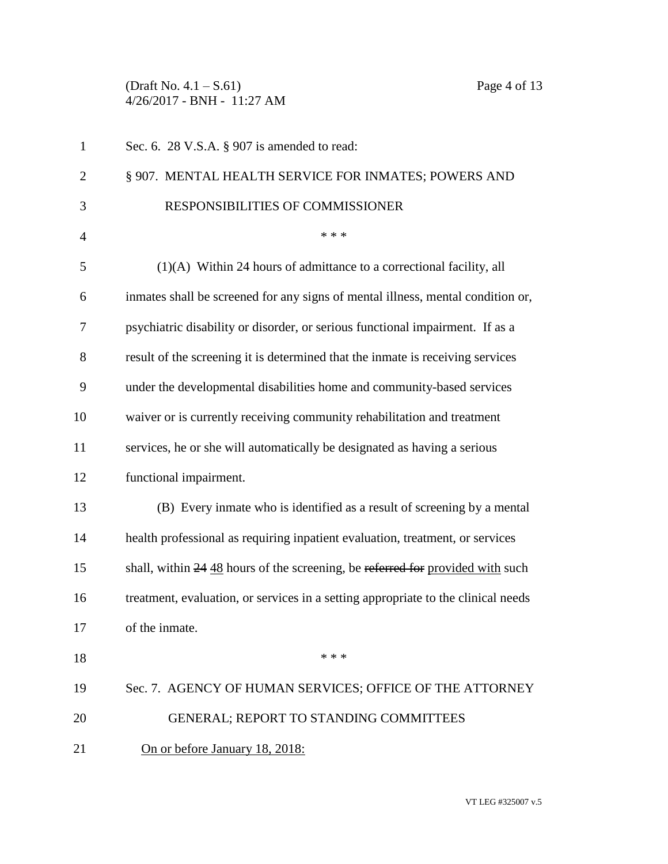(Draft No. 4.1 – S.61) Page 4 of 13 4/26/2017 - BNH - 11:27 AM

| $\mathbf{1}$   | Sec. 6. 28 V.S.A. § 907 is amended to read:                                       |
|----------------|-----------------------------------------------------------------------------------|
| $\overline{2}$ | § 907. MENTAL HEALTH SERVICE FOR INMATES; POWERS AND                              |
| 3              | RESPONSIBILITIES OF COMMISSIONER                                                  |
| $\overline{4}$ | * * *                                                                             |
| 5              | (1)(A) Within 24 hours of admittance to a correctional facility, all              |
| 6              | inmates shall be screened for any signs of mental illness, mental condition or,   |
| 7              | psychiatric disability or disorder, or serious functional impairment. If as a     |
| 8              | result of the screening it is determined that the inmate is receiving services    |
| 9              | under the developmental disabilities home and community-based services            |
| 10             | waiver or is currently receiving community rehabilitation and treatment           |
| 11             | services, he or she will automatically be designated as having a serious          |
| 12             | functional impairment.                                                            |
| 13             | (B) Every inmate who is identified as a result of screening by a mental           |
| 14             | health professional as requiring inpatient evaluation, treatment, or services     |
| 15             | shall, within 24 48 hours of the screening, be referred for provided with such    |
| 16             | treatment, evaluation, or services in a setting appropriate to the clinical needs |
| 17             | of the inmate.                                                                    |
| 18             | * * *                                                                             |
| 19             | Sec. 7. AGENCY OF HUMAN SERVICES; OFFICE OF THE ATTORNEY                          |
| 20             | <b>GENERAL; REPORT TO STANDING COMMITTEES</b>                                     |
| 21             | On or before January 18, 2018:                                                    |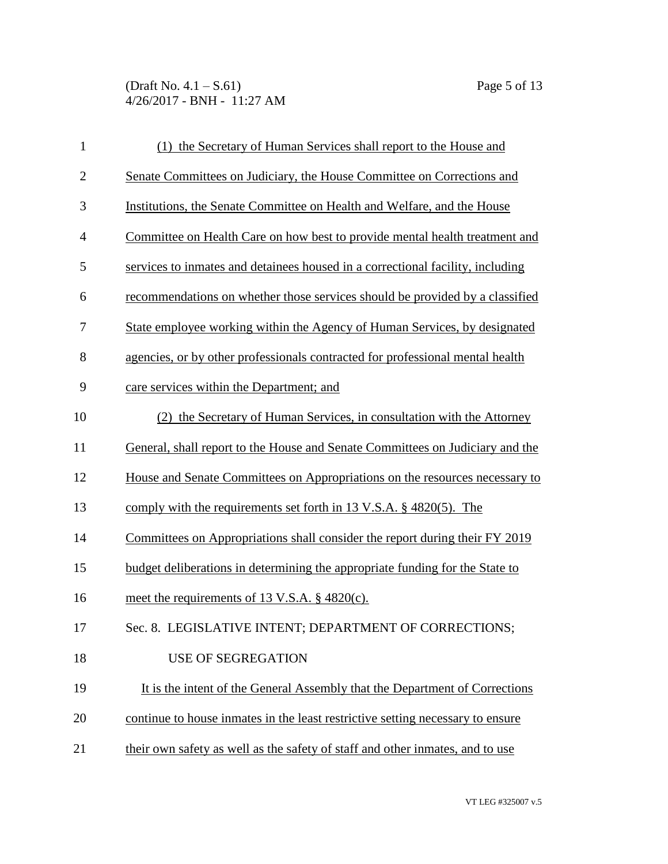(Draft No. 4.1 – S.61) Page 5 of 13 4/26/2017 - BNH - 11:27 AM

| $\mathbf{1}$   | (1) the Secretary of Human Services shall report to the House and              |
|----------------|--------------------------------------------------------------------------------|
| $\overline{2}$ | Senate Committees on Judiciary, the House Committee on Corrections and         |
| 3              | Institutions, the Senate Committee on Health and Welfare, and the House        |
| $\overline{4}$ | Committee on Health Care on how best to provide mental health treatment and    |
| 5              | services to inmates and detainees housed in a correctional facility, including |
| 6              | recommendations on whether those services should be provided by a classified   |
| 7              | State employee working within the Agency of Human Services, by designated      |
| 8              | agencies, or by other professionals contracted for professional mental health  |
| 9              | care services within the Department; and                                       |
| 10             | (2) the Secretary of Human Services, in consultation with the Attorney         |
| 11             | General, shall report to the House and Senate Committees on Judiciary and the  |
| 12             | House and Senate Committees on Appropriations on the resources necessary to    |
| 13             | comply with the requirements set forth in 13 V.S.A. $\S$ 4820(5). The          |
| 14             | Committees on Appropriations shall consider the report during their FY 2019    |
| 15             | budget deliberations in determining the appropriate funding for the State to   |
| 16             | meet the requirements of 13 V.S.A. $\S$ 4820(c).                               |
| 17             | Sec. 8. LEGISLATIVE INTENT; DEPARTMENT OF CORRECTIONS;                         |
| 18             | <b>USE OF SEGREGATION</b>                                                      |
| 19             | It is the intent of the General Assembly that the Department of Corrections    |
| 20             | continue to house inmates in the least restrictive setting necessary to ensure |
| 21             | their own safety as well as the safety of staff and other inmates, and to use  |
|                |                                                                                |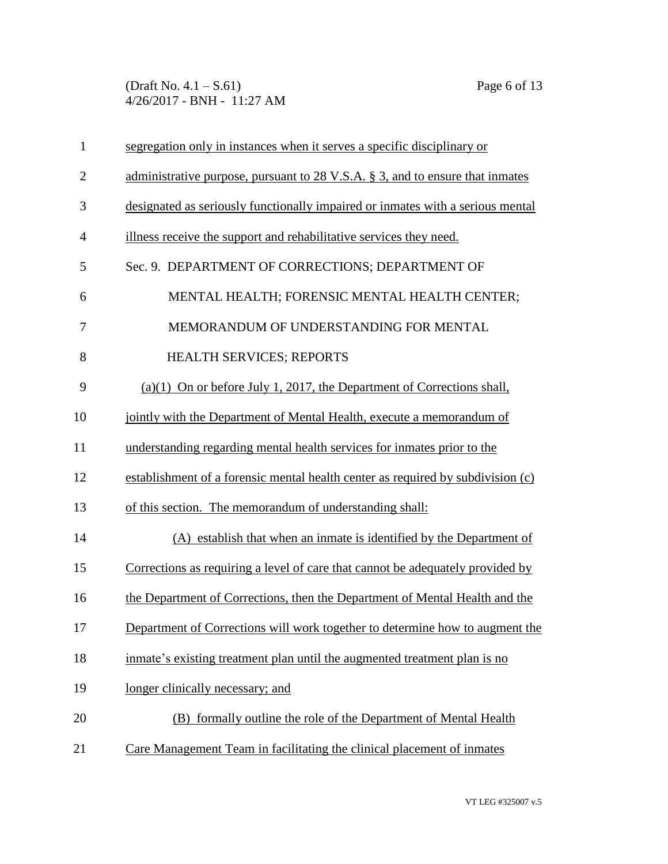(Draft No. 4.1 – S.61) Page 6 of 13 4/26/2017 - BNH - 11:27 AM

| $\mathbf{1}$   | segregation only in instances when it serves a specific disciplinary or                   |
|----------------|-------------------------------------------------------------------------------------------|
| $\overline{2}$ | administrative purpose, pursuant to $28 \text{ V.S.A. }$ \$ 3, and to ensure that inmates |
| 3              | designated as seriously functionally impaired or inmates with a serious mental            |
| $\overline{4}$ | illness receive the support and rehabilitative services they need.                        |
| 5              | Sec. 9. DEPARTMENT OF CORRECTIONS; DEPARTMENT OF                                          |
| 6              | MENTAL HEALTH; FORENSIC MENTAL HEALTH CENTER;                                             |
| 7              | MEMORANDUM OF UNDERSTANDING FOR MENTAL                                                    |
| 8              | HEALTH SERVICES; REPORTS                                                                  |
| 9              | $(a)(1)$ On or before July 1, 2017, the Department of Corrections shall,                  |
| 10             | jointly with the Department of Mental Health, execute a memorandum of                     |
| 11             | understanding regarding mental health services for inmates prior to the                   |
| 12             | establishment of a forensic mental health center as required by subdivision (c)           |
| 13             | of this section. The memorandum of understanding shall:                                   |
| 14             | (A) establish that when an inmate is identified by the Department of                      |
| 15             | Corrections as requiring a level of care that cannot be adequately provided by            |
| 16             | the Department of Corrections, then the Department of Mental Health and the               |
| 17             | Department of Corrections will work together to determine how to augment the              |
| 18             | inmate's existing treatment plan until the augmented treatment plan is no                 |
| 19             | longer clinically necessary; and                                                          |
| 20             | (B) formally outline the role of the Department of Mental Health                          |
| 21             | Care Management Team in facilitating the clinical placement of inmates                    |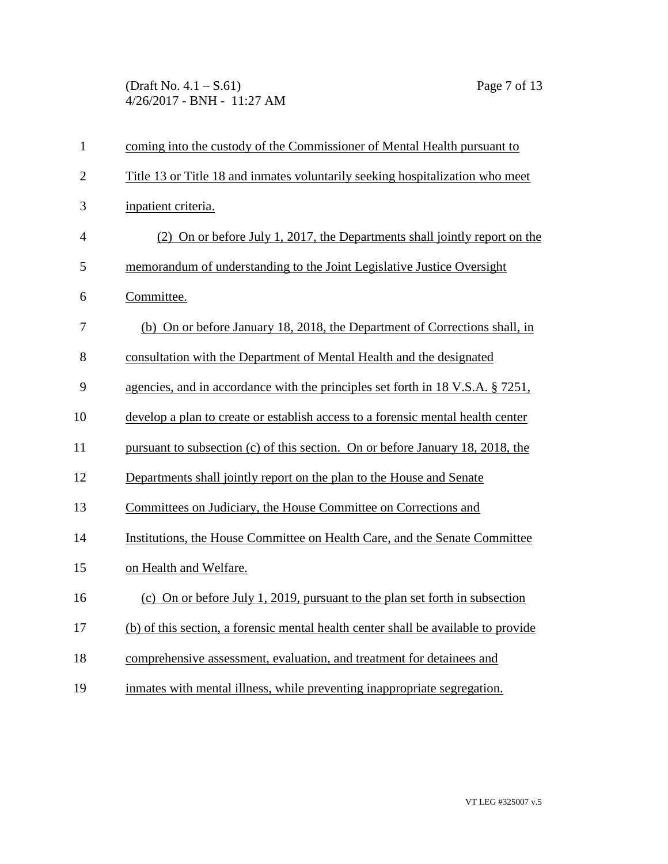(Draft No. 4.1 – S.61) Page 7 of 13 4/26/2017 - BNH - 11:27 AM

| $\mathbf{1}$   | coming into the custody of the Commissioner of Mental Health pursuant to           |
|----------------|------------------------------------------------------------------------------------|
| $\overline{2}$ | Title 13 or Title 18 and inmates voluntarily seeking hospitalization who meet      |
| 3              | inpatient criteria.                                                                |
| $\overline{4}$ | (2) On or before July 1, 2017, the Departments shall jointly report on the         |
| 5              | memorandum of understanding to the Joint Legislative Justice Oversight             |
| 6              | Committee.                                                                         |
| 7              | (b) On or before January 18, 2018, the Department of Corrections shall, in         |
| 8              | consultation with the Department of Mental Health and the designated               |
| 9              | agencies, and in accordance with the principles set forth in 18 V.S.A. § 7251,     |
| 10             | develop a plan to create or establish access to a forensic mental health center    |
| 11             | pursuant to subsection (c) of this section. On or before January 18, 2018, the     |
| 12             | Departments shall jointly report on the plan to the House and Senate               |
| 13             | Committees on Judiciary, the House Committee on Corrections and                    |
| 14             | Institutions, the House Committee on Health Care, and the Senate Committee         |
| 15             | on Health and Welfare.                                                             |
| 16             | (c) On or before July 1, 2019, pursuant to the plan set forth in subsection        |
| 17             | (b) of this section, a forensic mental health center shall be available to provide |
| 18             | comprehensive assessment, evaluation, and treatment for detainees and              |
| 19             | inmates with mental illness, while preventing inappropriate segregation.           |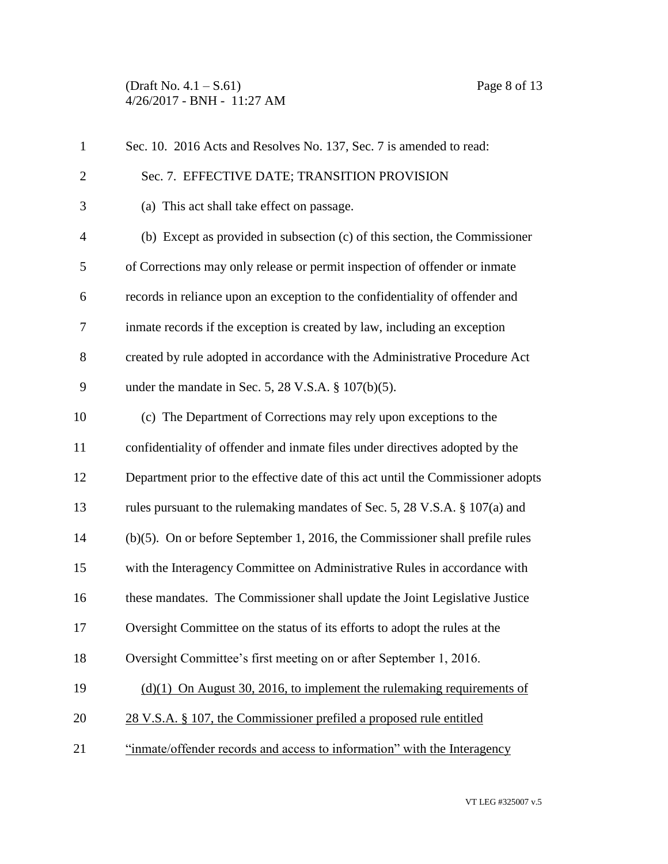(Draft No. 4.1 – S.61) Page 8 of 13 4/26/2017 - BNH - 11:27 AM

| $\mathbf{1}$   | Sec. 10. 2016 Acts and Resolves No. 137, Sec. 7 is amended to read:              |
|----------------|----------------------------------------------------------------------------------|
| $\overline{2}$ | Sec. 7. EFFECTIVE DATE; TRANSITION PROVISION                                     |
| 3              | (a) This act shall take effect on passage.                                       |
| $\overline{4}$ | (b) Except as provided in subsection $(c)$ of this section, the Commissioner     |
| 5              | of Corrections may only release or permit inspection of offender or inmate       |
| 6              | records in reliance upon an exception to the confidentiality of offender and     |
| 7              | inmate records if the exception is created by law, including an exception        |
| 8              | created by rule adopted in accordance with the Administrative Procedure Act      |
| 9              | under the mandate in Sec. 5, 28 V.S.A. $\S$ 107(b)(5).                           |
| 10             | (c) The Department of Corrections may rely upon exceptions to the                |
| 11             | confidentiality of offender and inmate files under directives adopted by the     |
| 12             | Department prior to the effective date of this act until the Commissioner adopts |
| 13             | rules pursuant to the rulemaking mandates of Sec. 5, 28 V.S.A. § 107(a) and      |
| 14             | $(b)(5)$ . On or before September 1, 2016, the Commissioner shall prefile rules  |
| 15             | with the Interagency Committee on Administrative Rules in accordance with        |
| 16             | these mandates. The Commissioner shall update the Joint Legislative Justice      |
| 17             | Oversight Committee on the status of its efforts to adopt the rules at the       |
| 18             | Oversight Committee's first meeting on or after September 1, 2016.               |
| 19             | $(d)(1)$ On August 30, 2016, to implement the rulemaking requirements of         |
| 20             | 28 V.S.A. § 107, the Commissioner prefiled a proposed rule entitled              |
| 21             | "inmate/offender records and access to information" with the Interagency         |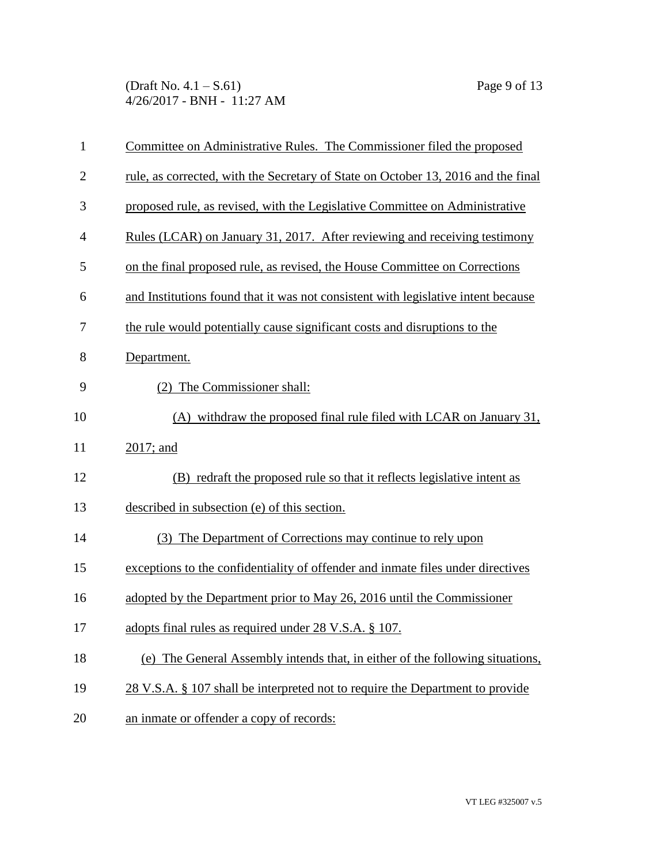(Draft No. 4.1 – S.61) Page 9 of 13 4/26/2017 - BNH - 11:27 AM

| $\mathbf{1}$   | Committee on Administrative Rules. The Commissioner filed the proposed            |
|----------------|-----------------------------------------------------------------------------------|
| $\overline{2}$ | rule, as corrected, with the Secretary of State on October 13, 2016 and the final |
| 3              | proposed rule, as revised, with the Legislative Committee on Administrative       |
| $\overline{4}$ | Rules (LCAR) on January 31, 2017. After reviewing and receiving testimony         |
| 5              | on the final proposed rule, as revised, the House Committee on Corrections        |
| 6              | and Institutions found that it was not consistent with legislative intent because |
| 7              | the rule would potentially cause significant costs and disruptions to the         |
| 8              | Department.                                                                       |
| 9              | (2) The Commissioner shall:                                                       |
| 10             | (A) withdraw the proposed final rule filed with LCAR on January 31,               |
| 11             | $2017$ ; and                                                                      |
| 12             | (B) redraft the proposed rule so that it reflects legislative intent as           |
| 13             | described in subsection (e) of this section.                                      |
| 14             | (3) The Department of Corrections may continue to rely upon                       |
| 15             | exceptions to the confidentiality of offender and inmate files under directives   |
| 16             | adopted by the Department prior to May 26, 2016 until the Commissioner            |
| 17             | adopts final rules as required under 28 V.S.A. § 107.                             |
| 18             | (e) The General Assembly intends that, in either of the following situations,     |
| 19             | 28 V.S.A. § 107 shall be interpreted not to require the Department to provide     |
| 20             | an inmate or offender a copy of records:                                          |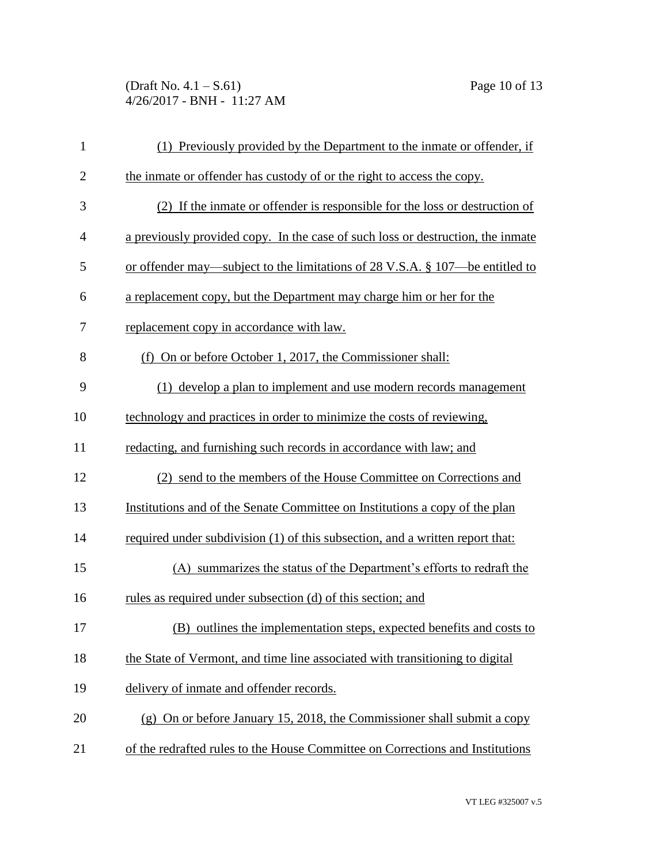(Draft No. 4.1 – S.61) Page 10 of 13 4/26/2017 - BNH - 11:27 AM

| $\mathbf{1}$   | (1) Previously provided by the Department to the inmate or offender, if         |
|----------------|---------------------------------------------------------------------------------|
| $\overline{2}$ | the inmate or offender has custody of or the right to access the copy.          |
| 3              | (2) If the inmate or offender is responsible for the loss or destruction of     |
| $\overline{4}$ | a previously provided copy. In the case of such loss or destruction, the inmate |
| 5              | or offender may—subject to the limitations of 28 V.S.A. § 107—be entitled to    |
| 6              | a replacement copy, but the Department may charge him or her for the            |
| 7              | replacement copy in accordance with law.                                        |
| 8              | (f) On or before October 1, 2017, the Commissioner shall:                       |
| 9              | (1) develop a plan to implement and use modern records management               |
| 10             | technology and practices in order to minimize the costs of reviewing,           |
| 11             | redacting, and furnishing such records in accordance with law; and              |
| 12             | (2) send to the members of the House Committee on Corrections and               |
| 13             | Institutions and of the Senate Committee on Institutions a copy of the plan     |
| 14             | required under subdivision (1) of this subsection, and a written report that:   |
| 15             | (A) summarizes the status of the Department's efforts to redraft the            |
| 16             | rules as required under subsection (d) of this section; and                     |
| 17             | (B) outlines the implementation steps, expected benefits and costs to           |
| 18             | the State of Vermont, and time line associated with transitioning to digital    |
| 19             | delivery of inmate and offender records.                                        |
| 20             | (g) On or before January 15, 2018, the Commissioner shall submit a copy         |
| 21             | of the redrafted rules to the House Committee on Corrections and Institutions   |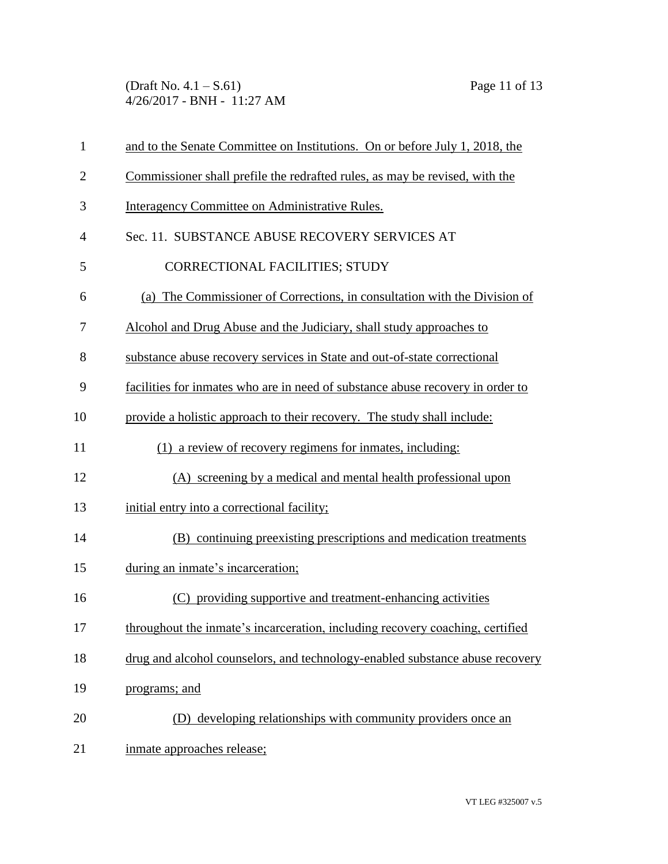(Draft No. 4.1 – S.61) Page 11 of 13 4/26/2017 - BNH - 11:27 AM

| $\mathbf{1}$   | and to the Senate Committee on Institutions. On or before July 1, 2018, the    |
|----------------|--------------------------------------------------------------------------------|
| $\overline{c}$ | Commissioner shall prefile the redrafted rules, as may be revised, with the    |
| 3              | Interagency Committee on Administrative Rules.                                 |
| $\overline{4}$ | Sec. 11. SUBSTANCE ABUSE RECOVERY SERVICES AT                                  |
| 5              | <b>CORRECTIONAL FACILITIES; STUDY</b>                                          |
| 6              | (a) The Commissioner of Corrections, in consultation with the Division of      |
| 7              | Alcohol and Drug Abuse and the Judiciary, shall study approaches to            |
| 8              | substance abuse recovery services in State and out-of-state correctional       |
| 9              | facilities for inmates who are in need of substance abuse recovery in order to |
| 10             | provide a holistic approach to their recovery. The study shall include:        |
| 11             | (1) a review of recovery regimens for inmates, including:                      |
| 12             | (A) screening by a medical and mental health professional upon                 |
| 13             | initial entry into a correctional facility;                                    |
| 14             | (B) continuing preexisting prescriptions and medication treatments             |
| 15             | during an inmate's incarceration;                                              |
| 16             | (C) providing supportive and treatment-enhancing activities                    |
| 17             | throughout the inmate's incarceration, including recovery coaching, certified  |
| 18             | drug and alcohol counselors, and technology-enabled substance abuse recovery   |
| 19             | programs; and                                                                  |
| 20             | (D) developing relationships with community providers once an                  |
| 21             | inmate approaches release;                                                     |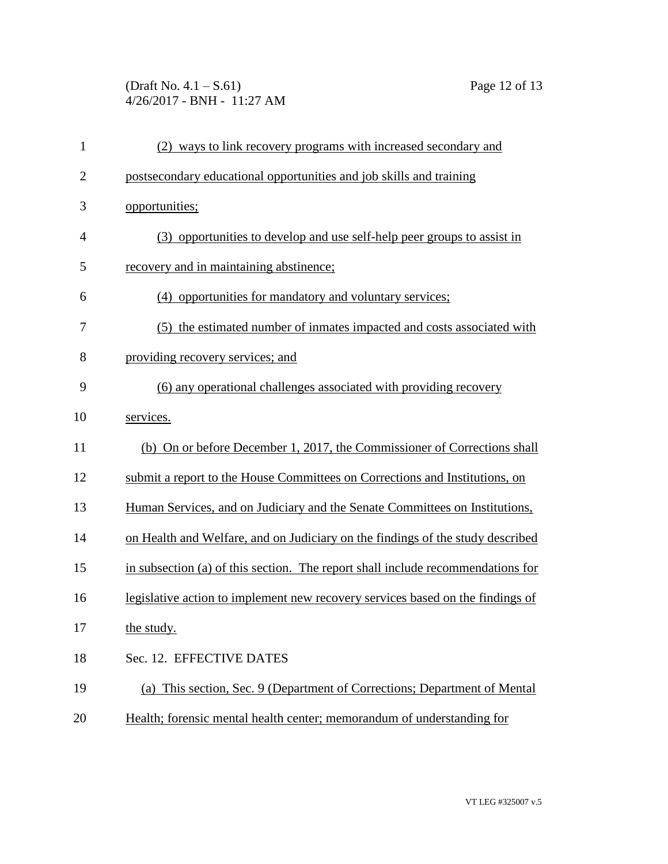(Draft No. 4.1 – S.61) Page 12 of 13 4/26/2017 - BNH - 11:27 AM

| 1              | (2) ways to link recovery programs with increased secondary and                 |
|----------------|---------------------------------------------------------------------------------|
| $\overline{c}$ | postsecondary educational opportunities and job skills and training             |
| 3              | opportunities;                                                                  |
| 4              | (3) opportunities to develop and use self-help peer groups to assist in         |
| 5              | recovery and in maintaining abstinence;                                         |
| 6              | (4) opportunities for mandatory and voluntary services;                         |
| 7              | (5) the estimated number of inmates impacted and costs associated with          |
| 8              | providing recovery services; and                                                |
| 9              | (6) any operational challenges associated with providing recovery               |
| 10             | services.                                                                       |
| 11             | (b) On or before December 1, 2017, the Commissioner of Corrections shall        |
| 12             | submit a report to the House Committees on Corrections and Institutions, on     |
| 13             | Human Services, and on Judiciary and the Senate Committees on Institutions,     |
| 14             | on Health and Welfare, and on Judiciary on the findings of the study described  |
| 15             | in subsection (a) of this section. The report shall include recommendations for |
| 16             | legislative action to implement new recovery services based on the findings of  |
| 17             | the study.                                                                      |
| 18             | Sec. 12. EFFECTIVE DATES                                                        |
| 19             | (a) This section, Sec. 9 (Department of Corrections; Department of Mental       |
| 20             | Health; forensic mental health center; memorandum of understanding for          |